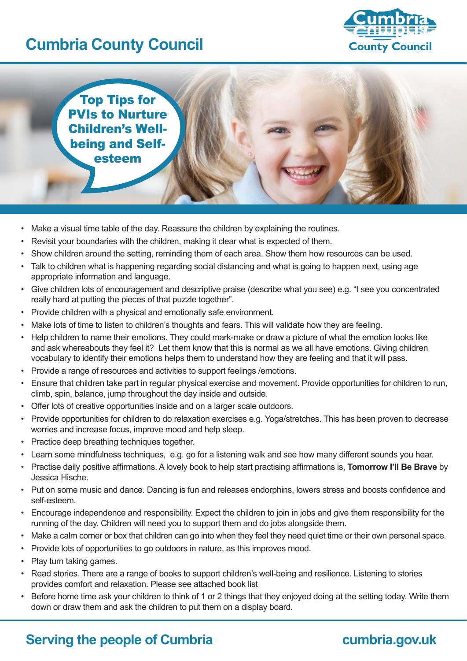# **Cumbria County Council**



Top Tips for PVIs to Nurture Children's Wellbeing and Selfesteem

- Make a visual time table of the day. Reassure the children by explaining the routines.
- Revisit your boundaries with the children, making it clear what is expected of them.
- Show children around the setting, reminding them of each area. Show them how resources can be used.
- Talk to children what is happening regarding social distancing and what is going to happen next, using age appropriate information and language.
- • Give children lots of encouragement and descriptive praise (describe what you see) e.g. "I see you concentrated really hard at putting the pieces of that puzzle together".
- Provide children with a physical and emotionally safe environment.
- Make lots of time to listen to children's thoughts and fears. This will validate how they are feeling.
- Help children to name their emotions. They could mark-make or draw a picture of what the emotion looks like and ask whereabouts they feel it? Let them know that this is normal as we all have emotions. Giving children vocabulary to identify their emotions helps them to understand how they are feeling and that it will pass.
- Provide a range of resources and activities to support feelings / emotions.
- • Ensure that children take part in regular physical exercise and movement. Provide opportunities for children to run, climb, spin, balance, jump throughout the day inside and outside.
- Offer lots of creative opportunities inside and on a larger scale outdoors.
- Provide opportunities for children to do relaxation exercises e.g. Yoga/stretches. This has been proven to decrease worries and increase focus, improve mood and help sleep.
- • Practice deep breathing techniques together.
- Learn some mindfulness techniques, e.g. go for a listening walk and see how many different sounds you hear.
- • Practise daily positive affirmations. A lovely book to help start practising affirmations is, **Tomorrow I'll Be Brave** by Jessica Hische.
- Put on some music and dance. Dancing is fun and releases endorphins, lowers stress and boosts confidence and self-esteem.
- • Encourage independence and responsibility. Expect the children to join in jobs and give them responsibility for the running of the day. Children will need you to support them and do jobs alongside them.
- Make a calm corner or box that children can go into when they feel they need quiet time or their own personal space.
- Provide lots of opportunities to go outdoors in nature, as this improves mood.
- Play turn taking games.
- Read stories. There are a range of books to support children's well-being and resilience. Listening to stories provides comfort and relaxation. Please see attached book list
- Before home time ask your children to think of 1 or 2 things that they enjoyed doing at the setting today. Write them down or draw them and ask the children to put them on a display board.

## **Serving the people of Cumbria cumbria.gov.uk**